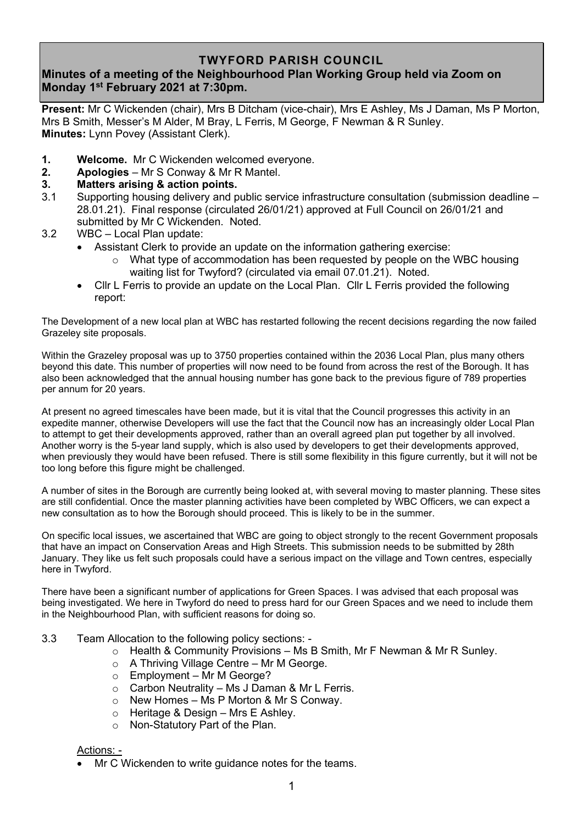## **TWYFORD PARISH COUNCIL**

# **Minutes of a meeting of the Neighbourhood Plan Working Group held via Zoom on Monday 1 st February 2021 at 7:30pm.**

**Present:** Mr C Wickenden (chair), Mrs B Ditcham (vice-chair), Mrs E Ashley, Ms J Daman, Ms P Morton, Mrs B Smith, Messer's M Alder, M Bray, L Ferris, M George, F Newman & R Sunley. **Minutes:** Lynn Povey (Assistant Clerk).

- **1. Welcome.** Mr C Wickenden welcomed everyone.
- **2. Apologies** Mr S Conway & Mr R Mantel.

### **3. Matters arising & action points.**

- 3.1 Supporting housing delivery and public service infrastructure consultation (submission deadline 28.01.21). Final response (circulated 26/01/21) approved at Full Council on 26/01/21 and submitted by Mr C Wickenden. Noted.
- 3.2 WBC Local Plan update:
	- Assistant Clerk to provide an update on the information gathering exercise:
		- $\circ$  What type of accommodation has been requested by people on the WBC housing waiting list for Twyford? (circulated via email 07.01.21). Noted.
	- Cllr L Ferris to provide an update on the Local Plan. Cllr L Ferris provided the following report:

The Development of a new local plan at WBC has restarted following the recent decisions regarding the now failed Grazeley site proposals.

Within the Grazeley proposal was up to 3750 properties contained within the 2036 Local Plan, plus many others beyond this date. This number of properties will now need to be found from across the rest of the Borough. It has also been acknowledged that the annual housing number has gone back to the previous figure of 789 properties per annum for 20 years.

At present no agreed timescales have been made, but it is vital that the Council progresses this activity in an expedite manner, otherwise Developers will use the fact that the Council now has an increasingly older Local Plan to attempt to get their developments approved, rather than an overall agreed plan put together by all involved. Another worry is the 5-year land supply, which is also used by developers to get their developments approved, when previously they would have been refused. There is still some flexibility in this figure currently, but it will not be too long before this figure might be challenged.

A number of sites in the Borough are currently being looked at, with several moving to master planning. These sites are still confidential. Once the master planning activities have been completed by WBC Officers, we can expect a new consultation as to how the Borough should proceed. This is likely to be in the summer.

On specific local issues, we ascertained that WBC are going to object strongly to the recent Government proposals that have an impact on Conservation Areas and High Streets. This submission needs to be submitted by 28th January. They like us felt such proposals could have a serious impact on the village and Town centres, especially here in Twyford.

There have been a significant number of applications for Green Spaces. I was advised that each proposal was being investigated. We here in Twyford do need to press hard for our Green Spaces and we need to include them in the Neighbourhood Plan, with sufficient reasons for doing so.

- 3.3 Team Allocation to the following policy sections:
	- $\circ$  Health & Community Provisions Ms B Smith, Mr F Newman & Mr R Sunley.
	- o A Thriving Village Centre Mr M George.
	- $\circ$  Employment Mr M George?
	- $\circ$  Carbon Neutrality Ms J Daman & Mr L Ferris.
	- $\circ$  New Homes Ms P Morton & Mr S Conway.
	- o Heritage & Design Mrs E Ashley.
	- o Non-Statutory Part of the Plan.

#### Actions: -

• Mr C Wickenden to write guidance notes for the teams.